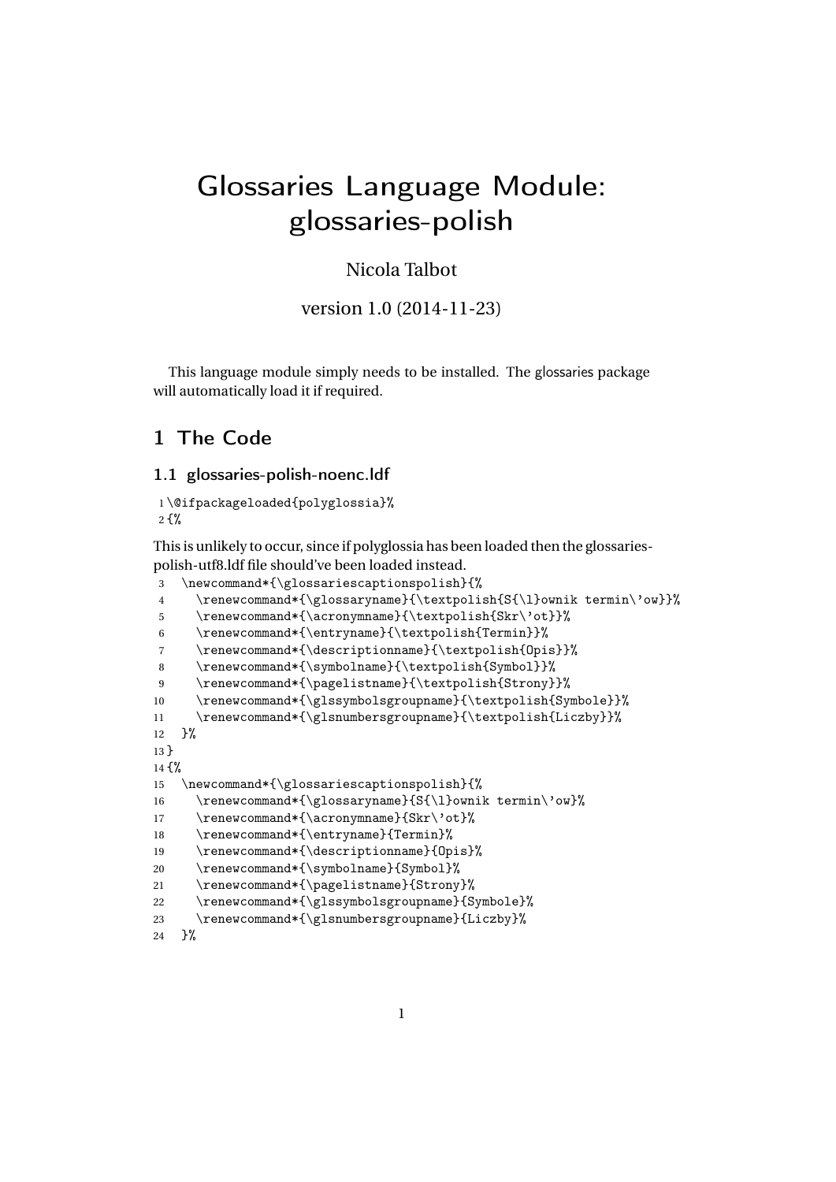# Glossaries Language Module: glossaries-polish

# Nicola Talbot

version 1.0 (2014-11-23)

This language module simply needs to be installed. The glossaries package will automatically load it if required.

# 1 The Code

#### 1.1 glossaries-polish-noenc.ldf

```
1 \@ifpackageloaded{polyglossia}%
2<sup>2</sup>
```
This is unlikely to occur, since if polyglossia has been loaded then the glossariespolish-utf8.ldf file should've been loaded instead.

```
3 \newcommand*{\glossariescaptionspolish}{%
\verb|4| \renewcommand*{\glossaryname}{\texttt{S_{\l}ownink termin\'ow}}\%5 \renewcommand*{\acronymname}{\textpolish{Skr\'ot}}%
6 \renewcommand*{\entryname}{\textpolish{Termin}}%
7 \renewcommand*{\descriptionname}{\textpolish{Opis}}%
8 \renewcommand*{\symbolname}{\textpolish{Symbol}}%
9 \renewcommand*{\pagelistname}{\textpolish{Strony}}%
10 \renewcommand*{\glssymbolsgroupname}{\textpolish{Symbole}}%
11 \renewcommand*{\glsnumbersgroupname}{\textpolish{Liczby}}%
12 }%
13 }
14 {%
15 \newcommand*{\glossariescaptionspolish}{%
16 \renewcommand*{\glossaryname}{S{\l}ownik termin\'ow}%
17 \renewcommand*{\acronymname}{Skr\'ot}%
18 \renewcommand*{\entryname}{Termin}%
19 \renewcommand*{\descriptionname}{Opis}%
20 \renewcommand*{\symbolname}{Symbol}%
21 \renewcommand*{\pagelistname}{Strony}%
22 \renewcommand*{\glssymbolsgroupname}{Symbole}%
23 \renewcommand*{\glsnumbersgroupname}{Liczby}%
```
24 }%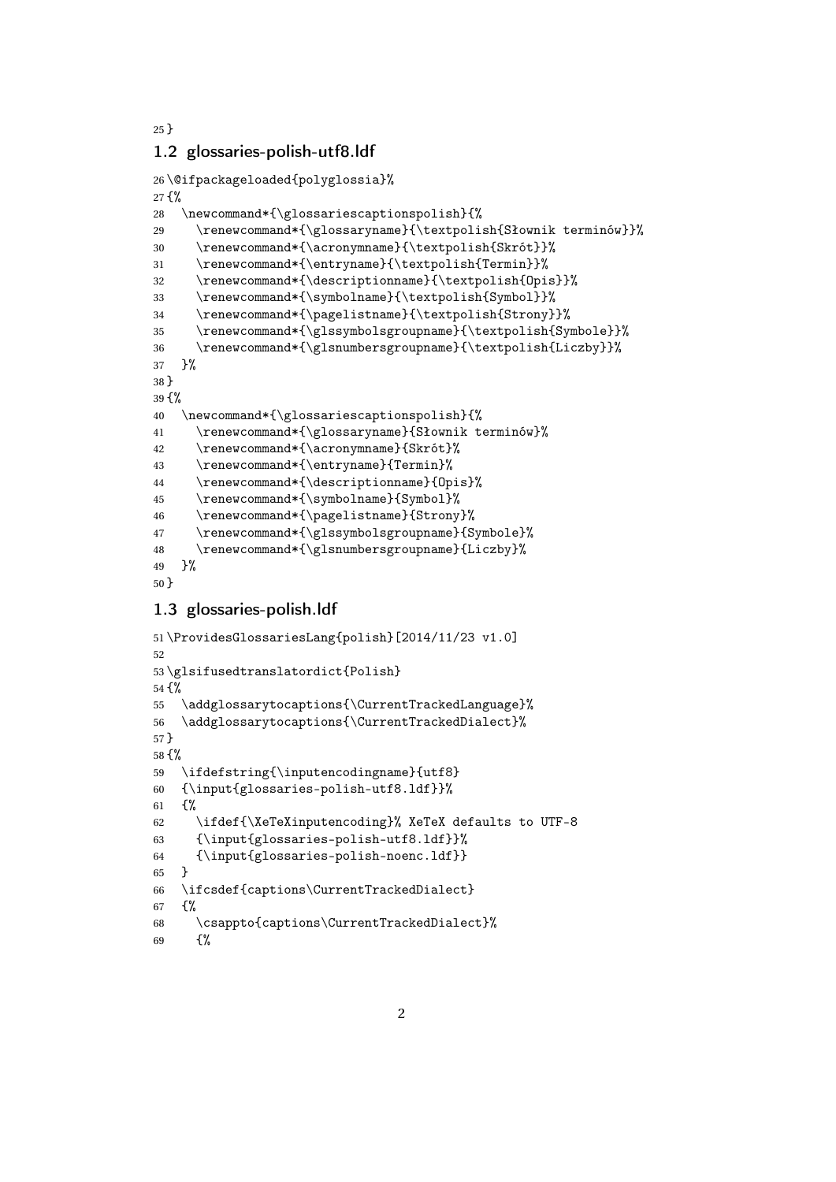#### }

#### 1.2 glossaries-polish-utf8.ldf

```
26 \@ifpackageloaded{polyglossia}%
27 {%
28 \newcommand*{\glossariescaptionspolish}{%
29 \renewcommand*{\glossaryname}{\textpolish{Słownik terminów}}%
30 \renewcommand*{\acronymname}{\textpolish{Skrót}}%
31 \renewcommand*{\entryname}{\textpolish{Termin}}%
32 \renewcommand*{\descriptionname}{\textpolish{Opis}}%
33 \renewcommand*{\symbolname}{\textpolish{Symbol}}%
34 \renewcommand*{\pagelistname}{\textpolish{Strony}}%
35 \renewcommand*{\glssymbolsgroupname}{\textpolish{Symbole}}%
36 \renewcommand*{\glsnumbersgroupname}{\textpolish{Liczby}}%
37 }%
38 }
39 {%
40 \newcommand*{\glossariescaptionspolish}{%
41 \renewcommand*{\glossaryname}{Słownik terminów}%
42 \renewcommand*{\acronymname}{Skrót}%
43 \renewcommand*{\entryname}{Termin}%
44 \renewcommand*{\descriptionname}{Opis}%
45 \renewcommand*{\symbolname}{Symbol}%
46 \renewcommand*{\pagelistname}{Strony}%
47 \renewcommand*{\glssymbolsgroupname}{Symbole}%
48 \renewcommand*{\glsnumbersgroupname}{Liczby}%
49 }%
50 }
```
## 1.3 glossaries-polish.ldf

```
51 \ProvidesGlossariesLang{polish}[2014/11/23 v1.0]
52
53 \glsifusedtranslatordict{Polish}
54 {%
55 \addglossarytocaptions{\CurrentTrackedLanguage}%
56 \addglossarytocaptions{\CurrentTrackedDialect}%
57 }
58 {%
59 \ifdefstring{\inputencodingname}{utf8}
60 {\input{glossaries-polish-utf8.ldf}}%
61 \frac{1}{2}62 \ifdef{\XeTeXinputencoding}% XeTeX defaults to UTF-8
63 {\input{glossaries-polish-utf8.ldf}}%
64 {\input{glossaries-polish-noenc.ldf}}
65 }
66 \ifcsdef{captions\CurrentTrackedDialect}
67 {%
68 \csappto{captions\CurrentTrackedDialect}%
69 \{\}
```